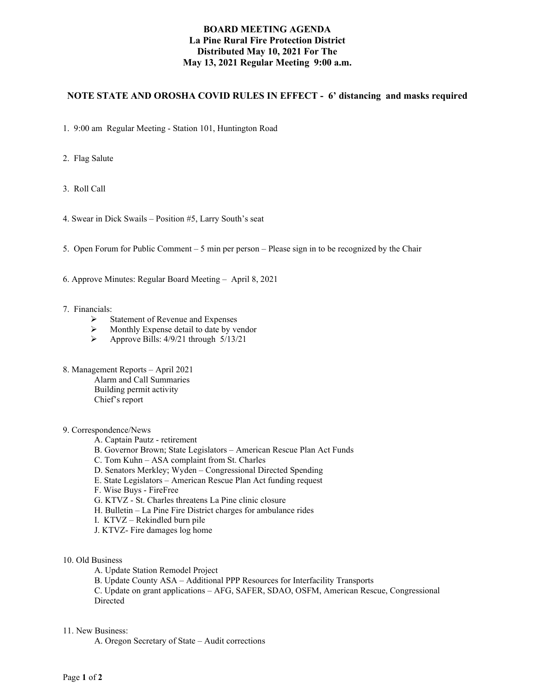# **BOARD MEETING AGENDA La Pine Rural Fire Protection District Distributed May 10, 2021 For The May 13, 2021 Regular Meeting 9:00 a.m.**

# **NOTE STATE AND OROSHA COVID RULES IN EFFECT - 6' distancing and masks required**

1. 9:00 am Regular Meeting - Station 101, Huntington Road

2. Flag Salute

3. Roll Call

4. Swear in Dick Swails – Position #5, Larry South's seat

5. Open Forum for Public Comment – 5 min per person – Please sign in to be recognized by the Chair

6. Approve Minutes: Regular Board Meeting – April 8, 2021

- 7. Financials:
	- $\triangleright$  Statement of Revenue and Expenses
	- $\triangleright$  Monthly Expense detail to date by vendor
	- $\triangleright$  Approve Bills: 4/9/21 through 5/13/21
- 8. Management Reports April 2021 Alarm and Call Summaries Building permit activity Chief's report

## 9. Correspondence/News

- A. Captain Pautz retirement
- B. Governor Brown; State Legislators American Rescue Plan Act Funds
- C. Tom Kuhn ASA complaint from St. Charles
- D. Senators Merkley; Wyden Congressional Directed Spending
- E. State Legislators American Rescue Plan Act funding request
- F. Wise Buys FireFree
- G. KTVZ St. Charles threatens La Pine clinic closure
- H. Bulletin La Pine Fire District charges for ambulance rides
- I. KTVZ Rekindled burn pile
- J. KTVZ- Fire damages log home
- 10. Old Business
	- A. Update Station Remodel Project
	- B. Update County ASA Additional PPP Resources for Interfacility Transports

C. Update on grant applications – AFG, SAFER, SDAO, OSFM, American Rescue, Congressional Directed

#### 11. New Business:

A. Oregon Secretary of State – Audit corrections